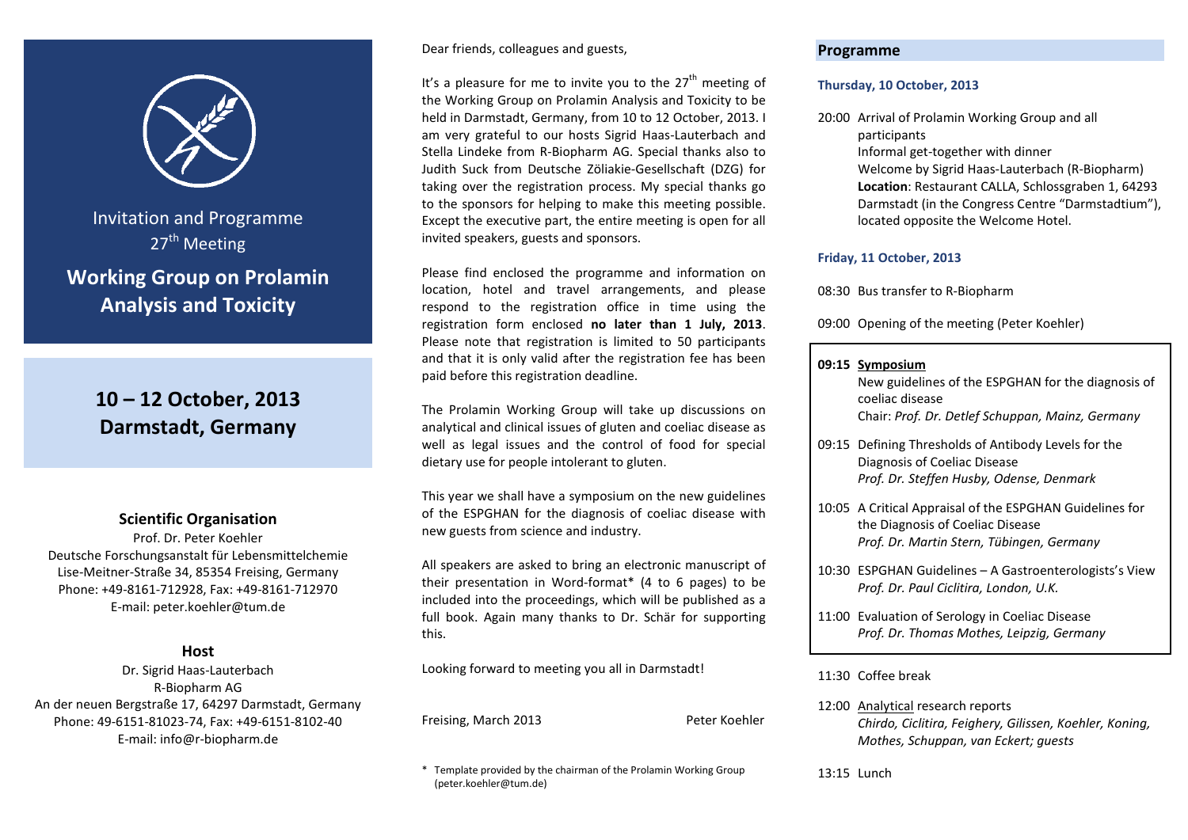

Invitation and Programme  $27<sup>th</sup>$  Meeting **Working Group on Prolamin Analysis and Toxicity**

# **10 – 12 October, 2013 Darmstadt, Germany**

# **Scientific Organisation**

Prof. Dr. Peter Koehler Deutsche Forschungsanstalt für Lebensmittelchemie Lise-Meitner-Straße 34, 85354 Freising, Germany Phone: +49-8161-712928, Fax: +49-8161-712970 E-mail: peter.koehler@tum.de

# **Host**

Dr. Sigrid Haas-Lauterbach R-Biopharm AG An der neuen Bergstraße 17, 64297 Darmstadt, Germany Phone: 49-6151-81023-74, Fax: +49-6151-8102-40 E-mail: info@r-biopharm.de

### Dear friends, colleagues and guests,

It's a pleasure for me to invite you to the  $27<sup>th</sup>$  meeting of the Working Group on Prolamin Analysis and Toxicity to be held in Darmstadt, Germany, from 10 to 12 October, 2013. I am very grateful to our hosts Sigrid Haas-Lauterbach and Stella Lindeke from R-Biopharm AG. Special thanks also to Judith Suck from Deutsche Zöliakie-Gesellschaft (DZG) for taking over the registration process. My special thanks go to the sponsors for helping to make this meeting possible. Except the executive part, the entire meeting is open for all invited speakers, guests and sponsors.

Please find enclosed the programme and information on location, hotel and travel arrangements, and please respond to the registration office in time using the registration form enclosed **no later than 1 July, 2013**. Please note that registration is limited to 50 participants and that it is only valid after the registration fee has been paid before this registration deadline.

The Prolamin Working Group will take up discussions on analytical and clinical issues of gluten and coeliac disease as well as legal issues and the control of food for special dietary use for people intolerant to gluten.

This year we shall have a symposium on the new guidelines of the ESPGHAN for the diagnosis of coeliac disease with new guests from science and industry.

All speakers are asked to bring an electronic manuscript of their presentation in Word-format\* (4 to 6 pages) to be included into the proceedings, which will be published as a full book. Again many thanks to Dr. Schär for supporting this.

Looking forward to meeting you all in Darmstadt!

Freising, March 2013 Peter Koehler

\* Template provided by the chairman of the Prolamin Working Group (peter.koehler@tum.de)

# **Programme**

### **Thursday, 10 October, 2013**

20:00 Arrival of Prolamin Working Group and all participants Informal get-together with dinner Welcome by Sigrid Haas-Lauterbach (R-Biopharm) **Location**: Restaurant CALLA, Schlossgraben 1, 64293 Darmstadt (in the Congress Centre "Darmstadtium"), located opposite the Welcome Hotel.

## **Friday, 11 October, 2013**

08:30 Bus transfer to R-Biopharm

09:00 Opening of the meeting (Peter Koehler)

### **09:15 Symposium**

New guidelines of the ESPGHAN for the diagnosis of coeliac disease Chair: *Prof. Dr. Detlef Schuppan, Mainz, Germany*

- 09:15 Defining Thresholds of Antibody Levels for the Diagnosis of Coeliac Disease *Prof. Dr. Steffen Husby, Odense, Denmark*
- 10:05 A Critical Appraisal of the ESPGHAN Guidelines for the Diagnosis of Coeliac Disease *Prof. Dr. Martin Stern, Tübingen, Germany*
- 10:30 ESPGHAN Guidelines A Gastroenterologists's View *Prof. Dr. Paul Ciclitira, London, U.K.*
- 11:00 Evaluation of Serology in Coeliac Disease *Prof. Dr. Thomas Mothes, Leipzig, Germany*

## 11:30 Coffee break

- 12:00 Analytical research reports *Chirdo, Ciclitira, Feighery, Gilissen, Koehler, Koning, Mothes, Schuppan, van Eckert; guests*
- 13:15 Lunch